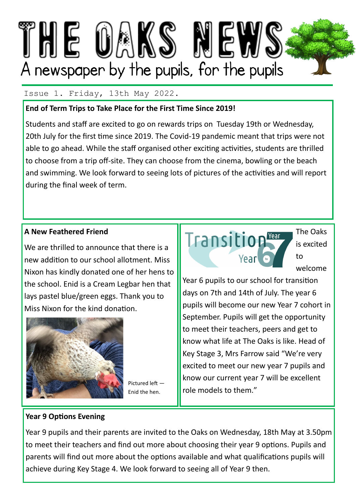

## Issue 1. Friday, 13th May 2022.

## **End of Term Trips to Take Place for the First Time Since 2019!**

Students and staff are excited to go on rewards trips on Tuesday 19th or Wednesday, 20th July for the first time since 2019. The Covid-19 pandemic meant that trips were not able to go ahead. While the staff organised other exciting activities, students are thrilled to choose from a trip off-site. They can choose from the cinema, bowling or the beach and swimming. We look forward to seeing lots of pictures of the activities and will report during the final week of term.

# **A New Feathered Friend**

We are thrilled to announce that there is a new addition to our school allotment. Miss Nixon has kindly donated one of her hens to the school. Enid is a Cream Legbar hen that lays pastel blue/green eggs. Thank you to Miss Nixon for the kind donation.



Pictured left — Enid the hen.



The Oaks is excited to welcome

Year 6 pupils to our school for transition days on 7th and 14th of July. The year 6 pupils will become our new Year 7 cohort in September. Pupils will get the opportunity to meet their teachers, peers and get to know what life at The Oaks is like. Head of Key Stage 3, Mrs Farrow said "We're very excited to meet our new year 7 pupils and know our current year 7 will be excellent role models to them."

## **Year 9 Options Evening**

Year 9 pupils and their parents are invited to the Oaks on Wednesday, 18th May at 3.50pm to meet their teachers and find out more about choosing their year 9 options. Pupils and parents will find out more about the options available and what qualifications pupils will achieve during Key Stage 4. We look forward to seeing all of Year 9 then.